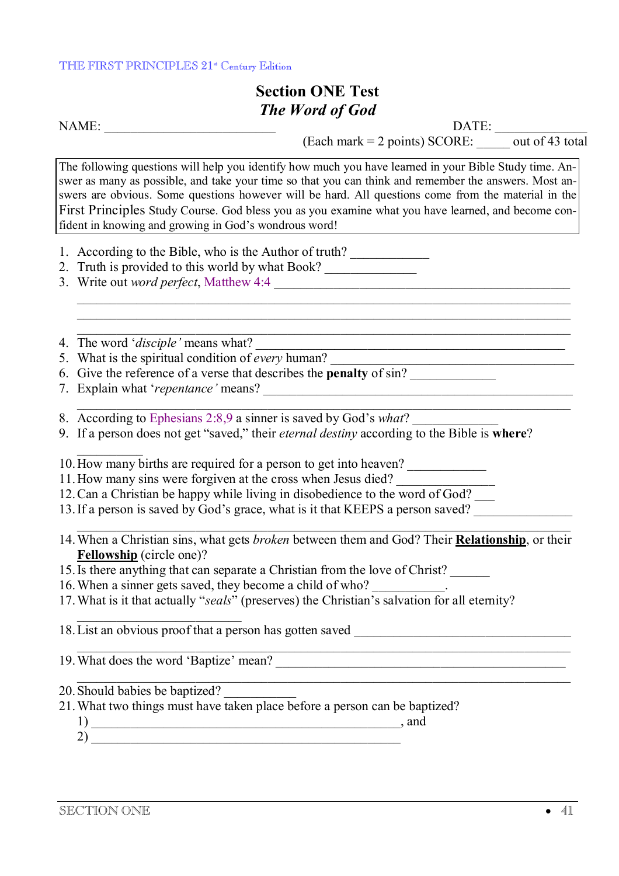## THE FIRST PRINCIPLES 21<sup>st</sup> Century Edition

## **Section ONE Test**  *The Word of God*<br> **NAME:**

NAME: \_\_\_\_\_\_\_\_\_\_\_\_\_\_\_\_\_\_\_\_\_\_\_\_\_\_ DATE: \_\_\_\_\_\_\_\_\_\_\_\_\_\_

(Each mark = 2 points) SCORE: \_\_\_\_\_ out of 43 total

The following questions will help you identify how much you have learned in your Bible Study time. Answer as many as possible, and take your time so that you can think and remember the answers. Most answers are obvious. Some questions however will be hard. All questions come from the material in the First Principles Study Course. God bless you as you examine what you have learned, and become confident in knowing and growing in God's wondrous word!

- 1. According to the Bible, who is the Author of truth?
- 2. Truth is provided to this world by what Book?
- 3. Write out *word perfect*, Matthew 4:4

4. The word '*disciple'* means what? \_\_\_\_\_\_\_\_\_\_\_\_\_\_\_\_\_\_\_\_\_\_\_\_\_\_\_\_\_\_\_\_\_\_\_\_\_\_\_\_\_\_\_\_\_\_\_

- 5. What is the spiritual condition of *every* human?
- 6. Give the reference of a verse that describes the **penalty** of sin? \_\_\_\_\_\_\_\_\_\_\_\_\_
- 7. Explain what '*repentance*' means?
- 8. According to Ephesians 2:8,9 a sinner is saved by God's *what*?
- 9. If a person does not get "saved," their *eternal destiny* according to the Bible is **where**?

10. How many births are required for a person to get into heaven?

- 11. How many sins were forgiven at the cross when Jesus died?
- 12. Can a Christian be happy while living in disobedience to the word of God?
- 13. If a person is saved by God's grace, what is it that KEEPS a person saved?
- 14.When a Christian sins, what gets *broken* between them and God? Their **Relationship**, or their **Fellowship** (circle one)?
- 15.Is there anything that can separate a Christian from the love of Christ? \_\_\_\_\_\_
- 16. When a sinner gets saved, they become a child of who?
- 17.What is it that actually "*seals*" (preserves) the Christian's salvation for all eternity?

18. List an obvious proof that a person has gotten saved

19. What does the word 'Baptize' mean?

 $\mathcal{L}=\mathcal{L}=\mathcal{L}=\mathcal{L}=\mathcal{L}=\mathcal{L}=\mathcal{L}=\mathcal{L}=\mathcal{L}=\mathcal{L}=\mathcal{L}=\mathcal{L}=\mathcal{L}=\mathcal{L}=\mathcal{L}=\mathcal{L}=\mathcal{L}=\mathcal{L}=\mathcal{L}=\mathcal{L}=\mathcal{L}=\mathcal{L}=\mathcal{L}=\mathcal{L}=\mathcal{L}=\mathcal{L}=\mathcal{L}=\mathcal{L}=\mathcal{L}=\mathcal{L}=\mathcal{L}=\mathcal{L}=\mathcal{L}=\mathcal{L}=\mathcal{L}=\mathcal{L}=\mathcal{$ 

- 20. Should babies be baptized?
- 21.What two things must have taken place before a person can be baptized?
	- $\frac{1}{2}$  and 2) \_\_\_\_\_\_\_\_\_\_\_\_\_\_\_\_\_\_\_\_\_\_\_\_\_\_\_\_\_\_\_\_\_\_\_\_\_\_\_\_\_\_\_\_\_\_\_